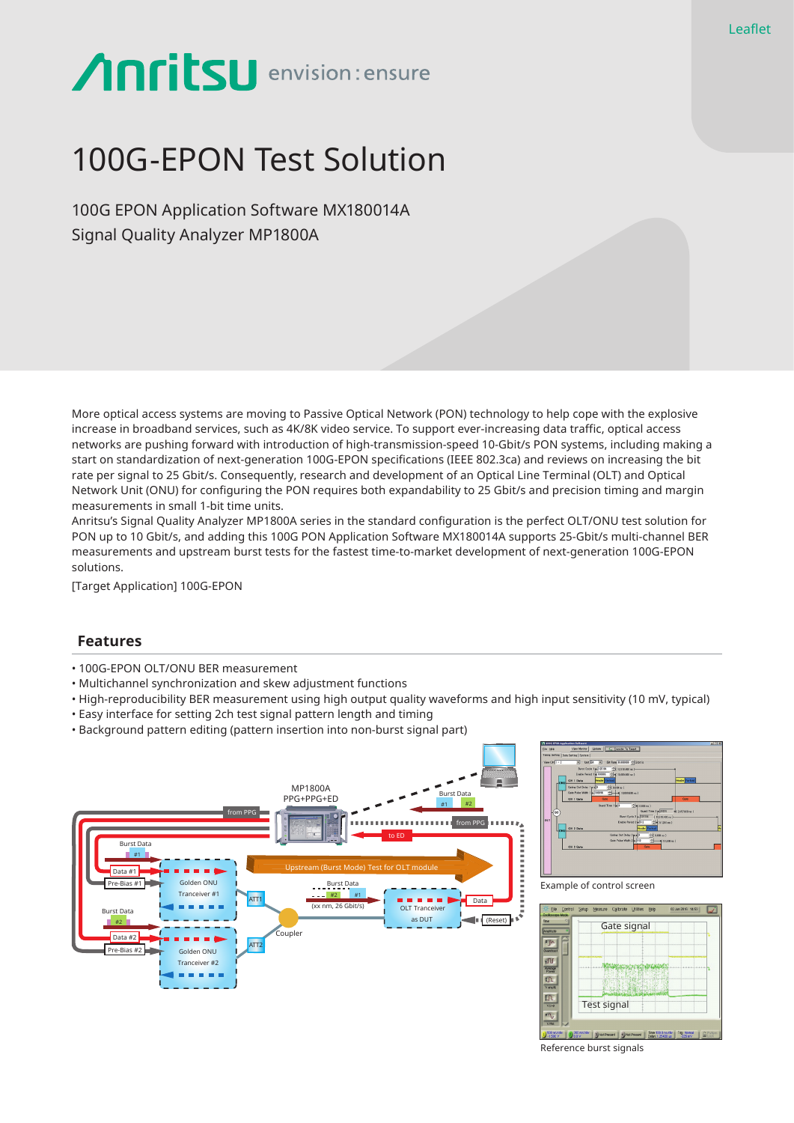# **Anritsu** envision: ensure

## 100G-EPON Test Solution

100G EPON Application Software MX180014A Signal Quality Analyzer MP1800A

More optical access systems are moving to Passive Optical Network (PON) technology to help cope with the explosive increase in broadband services, such as 4K/8K video service. To support ever-increasing data traffic, optical access networks are pushing forward with introduction of high-transmission-speed 10-Gbit/s PON systems, including making a start on standardization of next-generation 100G-EPON specifications (IEEE 802.3ca) and reviews on increasing the bit rate per signal to 25 Gbit/s. Consequently, research and development of an Optical Line Terminal (OLT) and Optical Network Unit (ONU) for configuring the PON requires both expandability to 25 Gbit/s and precision timing and margin measurements in small 1-bit time units.

Anritsu's Signal Quality Analyzer MP1800A series in the standard configuration is the perfect OLT/ONU test solution for PON up to 10 Gbit/s, and adding this 100G PON Application Software MX180014A supports 25-Gbit/s multi-channel BER measurements and upstream burst tests for the fastest time-to-market development of next-generation 100G-EPON solutions.

[Target Application] 100G-EPON

#### **Features**

- 100G-EPON OLT/ONU BER measurement
- Multichannel synchronization and skew adjustment functions
- High-reproducibility BER measurement using high output quality waveforms and high input sensitivity (10 mV, typical)
- Easy interface for setting 2ch test signal pattern length and timing
- Background pattern editing (pattern insertion into non-burst signal part)





Example of control screen



Reference burst signals